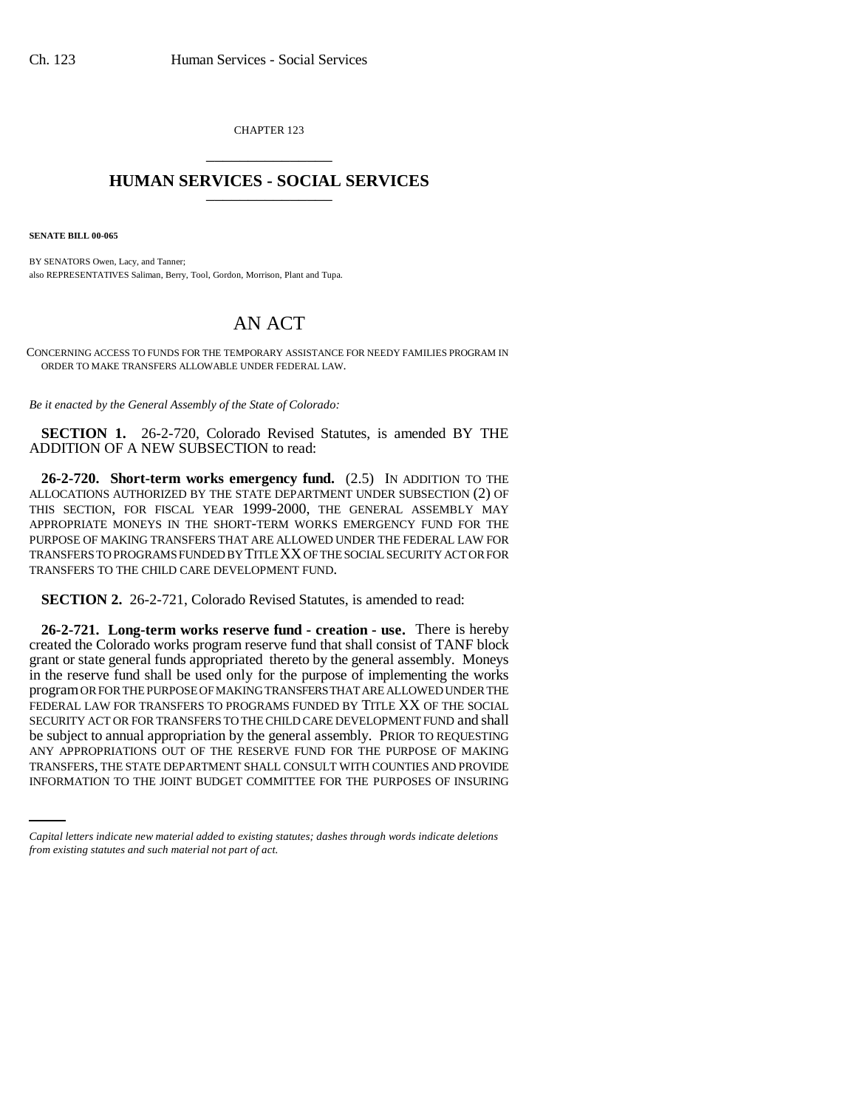CHAPTER 123 \_\_\_\_\_\_\_\_\_\_\_\_\_\_\_

## **HUMAN SERVICES - SOCIAL SERVICES** \_\_\_\_\_\_\_\_\_\_\_\_\_\_\_

**SENATE BILL 00-065** 

BY SENATORS Owen, Lacy, and Tanner; also REPRESENTATIVES Saliman, Berry, Tool, Gordon, Morrison, Plant and Tupa.

## AN ACT

CONCERNING ACCESS TO FUNDS FOR THE TEMPORARY ASSISTANCE FOR NEEDY FAMILIES PROGRAM IN ORDER TO MAKE TRANSFERS ALLOWABLE UNDER FEDERAL LAW.

*Be it enacted by the General Assembly of the State of Colorado:*

**SECTION 1.** 26-2-720, Colorado Revised Statutes, is amended BY THE ADDITION OF A NEW SUBSECTION to read:

**26-2-720. Short-term works emergency fund.** (2.5) IN ADDITION TO THE ALLOCATIONS AUTHORIZED BY THE STATE DEPARTMENT UNDER SUBSECTION (2) OF THIS SECTION, FOR FISCAL YEAR 1999-2000, THE GENERAL ASSEMBLY MAY APPROPRIATE MONEYS IN THE SHORT-TERM WORKS EMERGENCY FUND FOR THE PURPOSE OF MAKING TRANSFERS THAT ARE ALLOWED UNDER THE FEDERAL LAW FOR TRANSFERS TO PROGRAMS FUNDED BY TITLE XX OF THE SOCIAL SECURITY ACT OR FOR TRANSFERS TO THE CHILD CARE DEVELOPMENT FUND.

**SECTION 2.** 26-2-721, Colorado Revised Statutes, is amended to read:

ANY APPROPRIATIONS OUT OF THE RESERVE FUND FOR THE PURPOSE OF MAKING **26-2-721. Long-term works reserve fund - creation - use.** There is hereby created the Colorado works program reserve fund that shall consist of TANF block grant or state general funds appropriated thereto by the general assembly. Moneys in the reserve fund shall be used only for the purpose of implementing the works program OR FOR THE PURPOSE OF MAKING TRANSFERS THAT ARE ALLOWED UNDER THE FEDERAL LAW FOR TRANSFERS TO PROGRAMS FUNDED BY TITLE XX OF THE SOCIAL SECURITY ACT OR FOR TRANSFERS TO THE CHILD CARE DEVELOPMENT FUND and shall be subject to annual appropriation by the general assembly. PRIOR TO REQUESTING TRANSFERS, THE STATE DEPARTMENT SHALL CONSULT WITH COUNTIES AND PROVIDE INFORMATION TO THE JOINT BUDGET COMMITTEE FOR THE PURPOSES OF INSURING

*Capital letters indicate new material added to existing statutes; dashes through words indicate deletions from existing statutes and such material not part of act.*